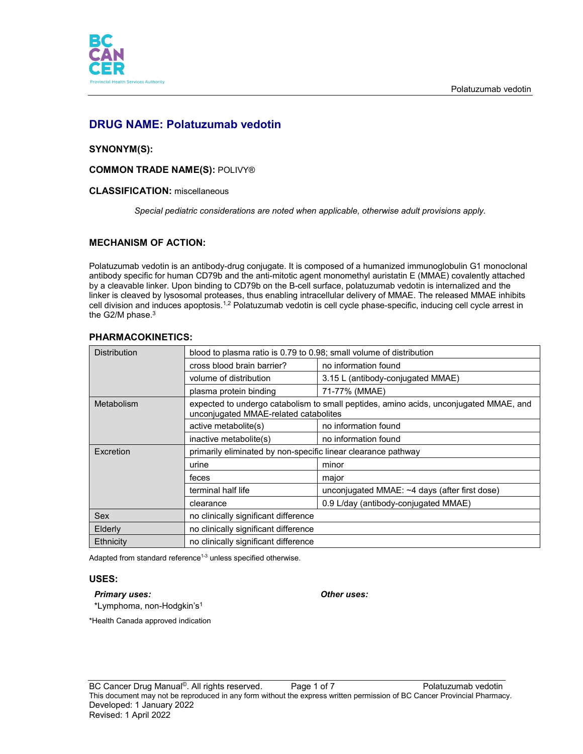

# **DRUG NAME: Polatuzumab vedotin**

# **SYNONYM(S):**

# **COMMON TRADE NAME(S):** POLIVY®

## **CLASSIFICATION:** miscellaneous

*Special pediatric considerations are noted when applicable, otherwise adult provisions apply.*

# **MECHANISM OF ACTION:**

Polatuzumab vedotin is an antibody-drug conjugate. It is composed of a humanized immunoglobulin G1 monoclonal antibody specific for human CD79b and the anti-mitotic agent monomethyl auristatin E (MMAE) covalently attached by a cleavable linker. Upon binding to CD79b on the B-cell surface, polatuzumab vedotin is internalized and the linker is cleaved by lysosomal proteases, thus enabling intracellular delivery of MMAE. The released MMAE inhibits cell division and induces apoptosis.<sup>1,2</sup> Polatuzumab vedotin is cell cycle phase-specific, inducing cell cycle arrest in the G2/M phase.<sup>3</sup>

| FRANWACONINETICS.                                                                                                              |                                               |  |  |
|--------------------------------------------------------------------------------------------------------------------------------|-----------------------------------------------|--|--|
| blood to plasma ratio is 0.79 to 0.98; small volume of distribution                                                            |                                               |  |  |
| cross blood brain barrier?                                                                                                     | no information found                          |  |  |
| volume of distribution                                                                                                         | 3.15 L (antibody-conjugated MMAE)             |  |  |
| plasma protein binding                                                                                                         | 71-77% (MMAE)                                 |  |  |
| expected to undergo catabolism to small peptides, amino acids, unconjugated MMAE, and<br>unconjugated MMAE-related catabolites |                                               |  |  |
| active metabolite(s)                                                                                                           | no information found                          |  |  |
| inactive metabolite(s)                                                                                                         | no information found                          |  |  |
| primarily eliminated by non-specific linear clearance pathway                                                                  |                                               |  |  |
| urine                                                                                                                          | minor                                         |  |  |
| feces                                                                                                                          | major                                         |  |  |
| terminal half life                                                                                                             | unconjugated MMAE: ~4 days (after first dose) |  |  |
| clearance                                                                                                                      | 0.9 L/day (antibody-conjugated MMAE)          |  |  |
| no clinically significant difference                                                                                           |                                               |  |  |
| no clinically significant difference                                                                                           |                                               |  |  |
| no clinically significant difference                                                                                           |                                               |  |  |
|                                                                                                                                |                                               |  |  |

# **PHARMACOKINETICS:**

Adapted from standard reference<sup>1-3</sup> unless specified otherwise.

## **USES:**

# *Primary uses: Other uses:*

\*Lymphoma, non-Hodgkin's1

\*Health Canada approved indication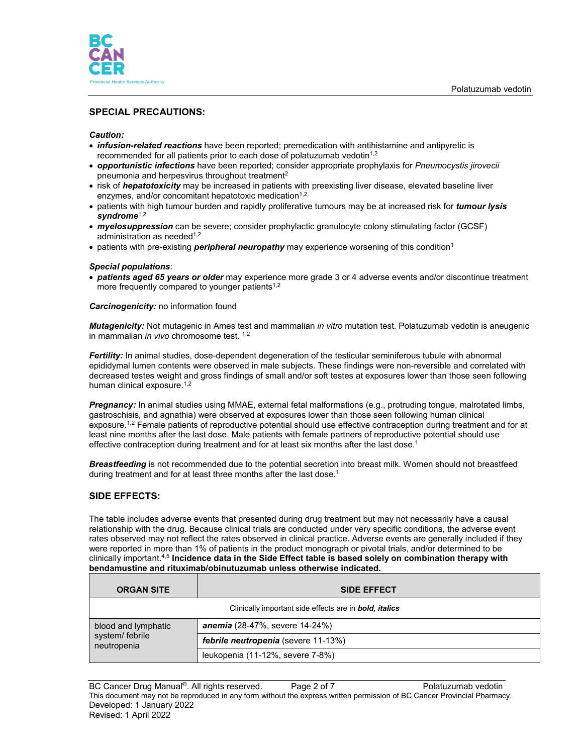

# **SPECIAL PRECAUTIONS:**

### *Caution:*

- *infusion-related reactions* have been reported; premedication with antihistamine and antipyretic is recommended for all patients prior to each dose of polatuzumab vedotin<sup>1,2</sup>
- *opportunistic infections* have been reported; consider appropriate prophylaxis for *Pneumocystis jirovecii* pneumonia and herpesvirus throughout treatment2
- risk of *hepatotoxicity* may be increased in patients with preexisting liver disease, elevated baseline liver enzymes, and/or concomitant hepatotoxic medication<sup>1,2</sup>
- patients with high tumour burden and rapidly proliferative tumours may be at increased risk for *tumour lysis syndrome*1,2
- *myelosuppression* can be severe; consider prophylactic granulocyte colony stimulating factor (GCSF) administration as needed $1,2$
- patients with pre-existing *peripheral neuropathy* may experience worsening of this condition<sup>1</sup>

#### *Special populations*:

• *patients aged 65 years or older* may experience more grade 3 or 4 adverse events and/or discontinue treatment more frequently compared to younger patients $1,2$ 

#### *Carcinogenicity:* no information found

*Mutagenicity:* Not mutagenic in Ames test and mammalian *in vitro* mutation test. Polatuzumab vedotin is aneugenic in mammalian *in vivo* chromosome test. 1,2

*Fertility:* In animal studies, dose-dependent degeneration of the testicular seminiferous tubule with abnormal epididymal lumen contents were observed in male subjects. These findings were non-reversible and correlated with decreased testes weight and gross findings of small and/or soft testes at exposures lower than those seen following human clinical exposure.<sup>1,2</sup>

*Pregnancy:* In animal studies using MMAE, external fetal malformations (e.g., protruding tongue, malrotated limbs, gastroschisis, and agnathia) were observed at exposures lower than those seen following human clinical exposure.<sup>1,2</sup> Female patients of reproductive potential should use effective contraception during treatment and for at least nine months after the last dose. Male patients with female partners of reproductive potential should use effective contraception during treatment and for at least six months after the last dose.<sup>1</sup>

*Breastfeeding* is not recommended due to the potential secretion into breast milk. Women should not breastfeed during treatment and for at least three months after the last dose.<sup>1</sup>

## **SIDE EFFECTS:**

The table includes adverse events that presented during drug treatment but may not necessarily have a causal relationship with the drug. Because clinical trials are conducted under very specific conditions, the adverse event rates observed may not reflect the rates observed in clinical practice. Adverse events are generally included if they were reported in more than 1% of patients in the product monograph or pivotal trials, and/or determined to be clinically important.4,5 **Incidence data in the Side Effect table is based solely on combination therapy with bendamustine and rituximab/obinutuzumab unless otherwise indicated.**

| <b>ORGAN SITE</b>                                     | <b>SIDE EFFECT</b>                                                    |
|-------------------------------------------------------|-----------------------------------------------------------------------|
|                                                       | Clinically important side effects are in <b>bold</b> , <i>italics</i> |
| blood and lymphatic<br>system/ febrile<br>neutropenia | <b>anemia</b> (28-47%, severe 14-24%)                                 |
|                                                       | <b>febrile neutropenia</b> (severe 11-13%)                            |
|                                                       | leukopenia (11-12%, severe 7-8%)                                      |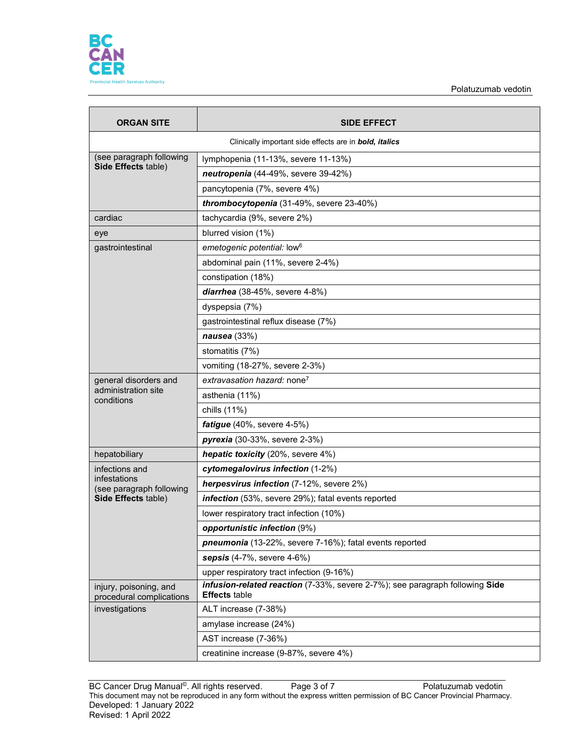

| <b>ORGAN SITE</b>                                             | <b>SIDE EFFECT</b>                                                                                   |  |  |
|---------------------------------------------------------------|------------------------------------------------------------------------------------------------------|--|--|
| Clinically important side effects are in <b>bold, italics</b> |                                                                                                      |  |  |
| (see paragraph following                                      | lymphopenia (11-13%, severe 11-13%)                                                                  |  |  |
| Side Effects table)                                           | neutropenia (44-49%, severe 39-42%)                                                                  |  |  |
|                                                               | pancytopenia (7%, severe 4%)                                                                         |  |  |
|                                                               | thrombocytopenia (31-49%, severe 23-40%)                                                             |  |  |
| cardiac                                                       | tachycardia (9%, severe 2%)                                                                          |  |  |
| eye                                                           | blurred vision (1%)                                                                                  |  |  |
| gastrointestinal                                              | emetogenic potential: low <sup>6</sup>                                                               |  |  |
|                                                               | abdominal pain (11%, severe 2-4%)                                                                    |  |  |
|                                                               | constipation (18%)                                                                                   |  |  |
|                                                               | diarrhea (38-45%, severe 4-8%)                                                                       |  |  |
|                                                               | dyspepsia (7%)                                                                                       |  |  |
|                                                               | gastrointestinal reflux disease (7%)                                                                 |  |  |
|                                                               | nausea (33%)                                                                                         |  |  |
|                                                               | stomatitis (7%)                                                                                      |  |  |
|                                                               | vomiting (18-27%, severe 2-3%)                                                                       |  |  |
| general disorders and                                         | extravasation hazard: none <sup>7</sup>                                                              |  |  |
| administration site<br>conditions                             | asthenia (11%)                                                                                       |  |  |
|                                                               | chills (11%)                                                                                         |  |  |
|                                                               | fatigue (40%, severe 4-5%)                                                                           |  |  |
|                                                               | pyrexia (30-33%, severe 2-3%)                                                                        |  |  |
| hepatobiliary                                                 | hepatic toxicity (20%, severe 4%)                                                                    |  |  |
| infections and                                                | cytomegalovirus infection (1-2%)                                                                     |  |  |
| infestations<br>(see paragraph following                      | herpesvirus infection (7-12%, severe 2%)                                                             |  |  |
| Side Effects table)                                           | infection (53%, severe 29%); fatal events reported                                                   |  |  |
|                                                               | lower respiratory tract infection (10%)                                                              |  |  |
|                                                               | opportunistic infection (9%)                                                                         |  |  |
|                                                               | pneumonia (13-22%, severe 7-16%); fatal events reported                                              |  |  |
|                                                               | sepsis $(4-7\% ,$ severe $4-6\%)$                                                                    |  |  |
|                                                               | upper respiratory tract infection (9-16%)                                                            |  |  |
| injury, poisoning, and<br>procedural complications            | infusion-related reaction (7-33%, severe 2-7%); see paragraph following Side<br><b>Effects table</b> |  |  |
| investigations                                                | ALT increase (7-38%)                                                                                 |  |  |
|                                                               | amylase increase (24%)                                                                               |  |  |
|                                                               | AST increase (7-36%)                                                                                 |  |  |
|                                                               | creatinine increase (9-87%, severe 4%)                                                               |  |  |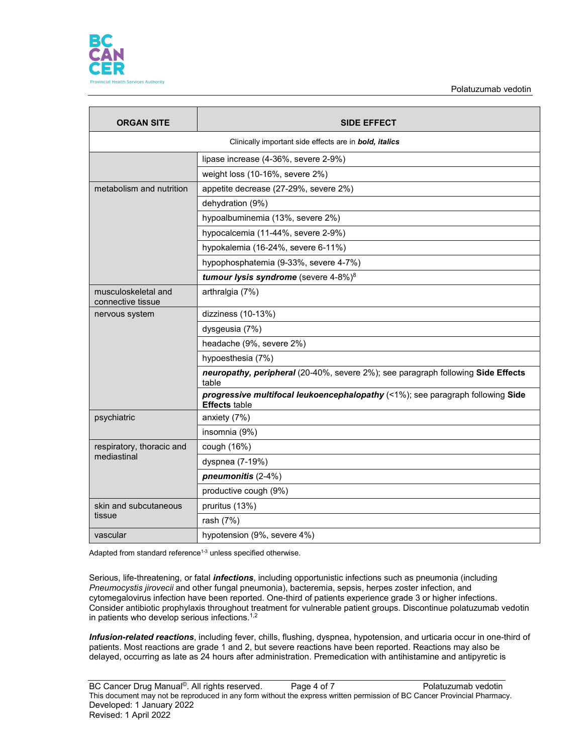

| <b>ORGAN SITE</b>                                                     | <b>SIDE EFFECT</b>                                                                                     |  |  |
|-----------------------------------------------------------------------|--------------------------------------------------------------------------------------------------------|--|--|
| Clinically important side effects are in <b>bold</b> , <i>italics</i> |                                                                                                        |  |  |
|                                                                       | lipase increase (4-36%, severe 2-9%)                                                                   |  |  |
|                                                                       | weight loss (10-16%, severe 2%)                                                                        |  |  |
| metabolism and nutrition                                              | appetite decrease (27-29%, severe 2%)                                                                  |  |  |
|                                                                       | dehydration (9%)                                                                                       |  |  |
|                                                                       | hypoalbuminemia (13%, severe 2%)                                                                       |  |  |
|                                                                       | hypocalcemia (11-44%, severe 2-9%)                                                                     |  |  |
|                                                                       | hypokalemia (16-24%, severe 6-11%)                                                                     |  |  |
|                                                                       | hypophosphatemia (9-33%, severe 4-7%)                                                                  |  |  |
|                                                                       | tumour lysis syndrome (severe 4-8%) <sup>8</sup>                                                       |  |  |
| musculoskeletal and<br>connective tissue                              | arthralgia (7%)                                                                                        |  |  |
| nervous system                                                        | dizziness (10-13%)                                                                                     |  |  |
|                                                                       | dysgeusia (7%)                                                                                         |  |  |
|                                                                       | headache (9%, severe 2%)                                                                               |  |  |
|                                                                       | hypoesthesia (7%)                                                                                      |  |  |
|                                                                       | neuropathy, peripheral (20-40%, severe 2%); see paragraph following Side Effects<br>table              |  |  |
|                                                                       | progressive multifocal leukoencephalopathy (<1%); see paragraph following Side<br><b>Effects table</b> |  |  |
| psychiatric                                                           | anxiety (7%)                                                                                           |  |  |
|                                                                       | insomnia (9%)                                                                                          |  |  |
| respiratory, thoracic and                                             | cough (16%)                                                                                            |  |  |
| mediastinal                                                           | dyspnea (7-19%)                                                                                        |  |  |
|                                                                       | pneumonitis (2-4%)                                                                                     |  |  |
|                                                                       | productive cough (9%)                                                                                  |  |  |
| skin and subcutaneous                                                 | pruritus (13%)                                                                                         |  |  |
| tissue                                                                | rash (7%)                                                                                              |  |  |
| vascular                                                              | hypotension (9%, severe 4%)                                                                            |  |  |

Adapted from standard reference<sup>1-3</sup> unless specified otherwise.

Serious, life-threatening, or fatal *infections*, including opportunistic infections such as pneumonia (including *Pneumocystis jirovecii* and other fungal pneumonia), bacteremia, sepsis, herpes zoster infection, and cytomegalovirus infection have been reported. One-third of patients experience grade 3 or higher infections. Consider antibiotic prophylaxis throughout treatment for vulnerable patient groups. Discontinue polatuzumab vedotin in patients who develop serious infections.1,2

*Infusion-related reactions*, including fever, chills, flushing, dyspnea, hypotension, and urticaria occur in one-third of patients. Most reactions are grade 1 and 2, but severe reactions have been reported. Reactions may also be delayed, occurring as late as 24 hours after administration. Premedication with antihistamine and antipyretic is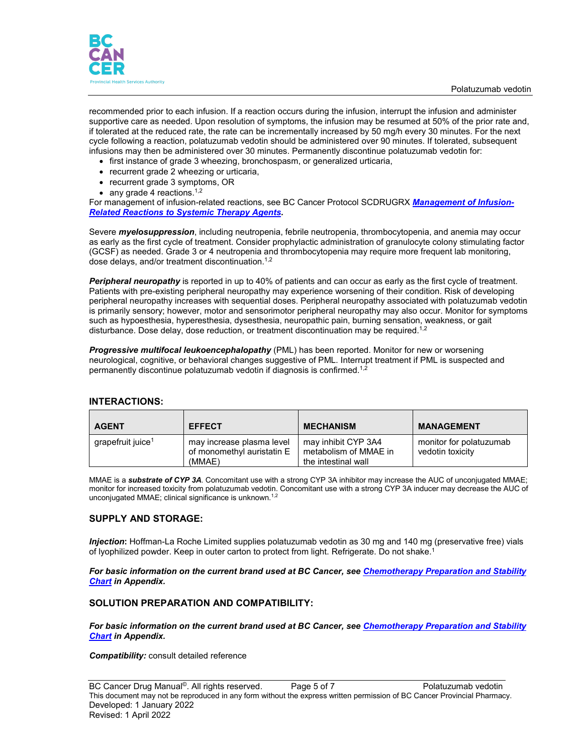

recommended prior to each infusion. If a reaction occurs during the infusion, interrupt the infusion and administer supportive care as needed. Upon resolution of symptoms, the infusion may be resumed at 50% of the prior rate and, if tolerated at the reduced rate, the rate can be incrementally increased by 50 mg/h every 30 minutes. For the next cycle following a reaction, polatuzumab vedotin should be administered over 90 minutes. If tolerated, subsequent infusions may then be administered over 30 minutes. Permanently discontinue polatuzumab vedotin for:

- first instance of grade 3 wheezing, bronchospasm, or generalized urticaria,
- recurrent grade 2 wheezing or urticaria,
- recurrent grade 3 symptoms, OR
- any grade 4 reactions.<sup>1,2</sup>

For management of infusion-related reactions, see BC Cancer Protocol SCDRUGRX *[Management of Infusion-](http://www.bccancer.bc.ca/health-professionals/clinical-resources/chemotherapy-protocols/supportive-care)[Related Reactions to Systemic Therapy Agents.](http://www.bccancer.bc.ca/health-professionals/clinical-resources/chemotherapy-protocols/supportive-care)*

Severe *myelosuppression*, including neutropenia, febrile neutropenia, thrombocytopenia, and anemia may occur as early as the first cycle of treatment. Consider prophylactic administration of granulocyte colony stimulating factor (GCSF) as needed. Grade 3 or 4 neutropenia and thrombocytopenia may require more frequent lab monitoring, dose delays, and/or treatment discontinuation.<sup>1,2</sup>

*Peripheral neuropathy* is reported in up to 40% of patients and can occur as early as the first cycle of treatment. Patients with pre-existing peripheral neuropathy may experience worsening of their condition. Risk of developing peripheral neuropathy increases with sequential doses. Peripheral neuropathy associated with polatuzumab vedotin is primarily sensory; however, motor and sensorimotor peripheral neuropathy may also occur. Monitor for symptoms such as hypoesthesia, hyperesthesia, dysesthesia, neuropathic pain, burning sensation, weakness, or gait disturbance. Dose delay, dose reduction, or treatment discontinuation may be required.<sup>1,2</sup>

*Progressive multifocal leukoencephalopathy* (PML) has been reported. Monitor for new or worsening neurological, cognitive, or behavioral changes suggestive of PML. Interrupt treatment if PML is suspected and permanently discontinue polatuzumab vedotin if diagnosis is confirmed.1,2

| <b>AGENT</b>                  | <b>EFFECT</b>                                                     | <b>MECHANISM</b>                                                    | <b>MANAGEMENT</b>                           |
|-------------------------------|-------------------------------------------------------------------|---------------------------------------------------------------------|---------------------------------------------|
| grapefruit juice <sup>1</sup> | may increase plasma level<br>of monomethyl auristatin E<br>(MMAE) | may inhibit CYP 3A4<br>metabolism of MMAE in<br>the intestinal wall | monitor for polatuzumab<br>vedotin toxicity |

#### **INTERACTIONS:**

MMAE is a *substrate of CYP 3A*. Concomitant use with a strong CYP 3A inhibitor may increase the AUC of unconjugated MMAE; monitor for increased toxicity from polatuzumab vedotin. Concomitant use with a strong CYP 3A inducer may decrease the AUC of unconjugated MMAE; clinical significance is unknown.<sup>1,2</sup>

## **SUPPLY AND STORAGE:**

*Injection***:** Hoffman-La Roche Limited supplies polatuzumab vedotin as 30 mg and 140 mg (preservative free) vials of lyophilized powder. Keep in outer carton to protect from light. Refrigerate. Do not shake.1

*For basic information on the current brand used at BC Cancer, see [Chemotherapy Preparation and Stability](http://www.bccancer.bc.ca/health-professionals/clinical-resources/cancer-drug-manual)  [Chart](http://www.bccancer.bc.ca/health-professionals/clinical-resources/cancer-drug-manual) in Appendix.*

#### **SOLUTION PREPARATION AND COMPATIBILITY:**

*For basic information on the current brand used at BC Cancer, see [Chemotherapy Preparation and Stability](http://www.bccancer.bc.ca/health-professionals/clinical-resources/cancer-drug-manual)  [Chart](http://www.bccancer.bc.ca/health-professionals/clinical-resources/cancer-drug-manual) in Appendix.*

*Compatibility:* consult detailed reference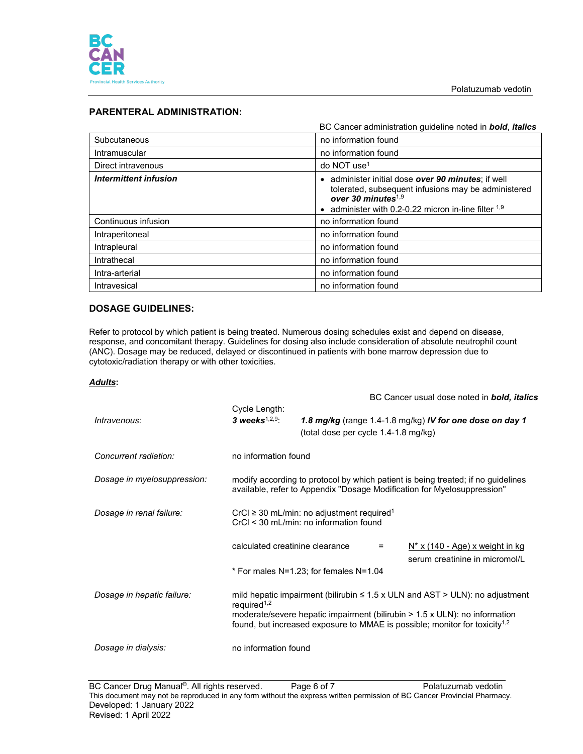

# **PARENTERAL ADMINISTRATION:**

|                       | BC Cancer administration guideline noted in bold, italics                                                                                                                                                    |
|-----------------------|--------------------------------------------------------------------------------------------------------------------------------------------------------------------------------------------------------------|
| Subcutaneous          | no information found                                                                                                                                                                                         |
| Intramuscular         | no information found                                                                                                                                                                                         |
| Direct intravenous    | do NOT use <sup>1</sup>                                                                                                                                                                                      |
| Intermittent infusion | administer initial dose over 90 minutes; if well<br>$\bullet$<br>tolerated, subsequent infusions may be administered<br>over 30 minutes <sup>1,9</sup><br>administer with 0.2-0.22 micron in-line filter 1,9 |
| Continuous infusion   | no information found                                                                                                                                                                                         |
| Intraperitoneal       | no information found                                                                                                                                                                                         |
| Intrapleural          | no information found                                                                                                                                                                                         |
| Intrathecal           | no information found                                                                                                                                                                                         |
| Intra-arterial        | no information found                                                                                                                                                                                         |
| Intravesical          | no information found                                                                                                                                                                                         |

# **DOSAGE GUIDELINES:**

Refer to protocol by which patient is being treated. Numerous dosing schedules exist and depend on disease, response, and concomitant therapy. Guidelines for dosing also include consideration of absolute neutrophil count (ANC). Dosage may be reduced, delayed or discontinued in patients with bone marrow depression due to cytotoxic/radiation therapy or with other toxicities.

## *Adults***:**

|                             |                                                                                                                                                                                                                                                                                              |                                        | BC Cancer usual dose noted in <b>bold, italics</b>                   |
|-----------------------------|----------------------------------------------------------------------------------------------------------------------------------------------------------------------------------------------------------------------------------------------------------------------------------------------|----------------------------------------|----------------------------------------------------------------------|
| Intravenous:                | Cycle Length:<br>3 weeks $1,2,9$ :                                                                                                                                                                                                                                                           | (total dose per cycle 1.4-1.8 mg/kg)   | 1.8 mg/kg (range 1.4-1.8 mg/kg) IV for one dose on day 1             |
| Concurrent radiation:       | no information found                                                                                                                                                                                                                                                                         |                                        |                                                                      |
| Dosage in myelosuppression: | modify according to protocol by which patient is being treated; if no guidelines<br>available, refer to Appendix "Dosage Modification for Myelosuppression"                                                                                                                                  |                                        |                                                                      |
| Dosage in renal failure:    | $CrCl \geq 30$ mL/min: no adjustment required <sup>1</sup><br>CrCl < 30 mL/min: no information found                                                                                                                                                                                         |                                        |                                                                      |
|                             | calculated creatinine clearance                                                                                                                                                                                                                                                              | =                                      | $N^*$ x (140 - Age) x weight in kg<br>serum creatinine in micromol/L |
|                             |                                                                                                                                                                                                                                                                                              | * For males N=1.23; for females N=1.04 |                                                                      |
| Dosage in hepatic failure:  | mild hepatic impairment (bilirubin $\leq 1.5$ x ULN and AST > ULN): no adjustment<br>required <sup>1,2</sup><br>moderate/severe hepatic impairment (bilirubin $> 1.5 \times ULN$ ): no information<br>found, but increased exposure to MMAE is possible; monitor for toxicity <sup>1,2</sup> |                                        |                                                                      |
| Dosage in dialysis:         | no information found                                                                                                                                                                                                                                                                         |                                        |                                                                      |